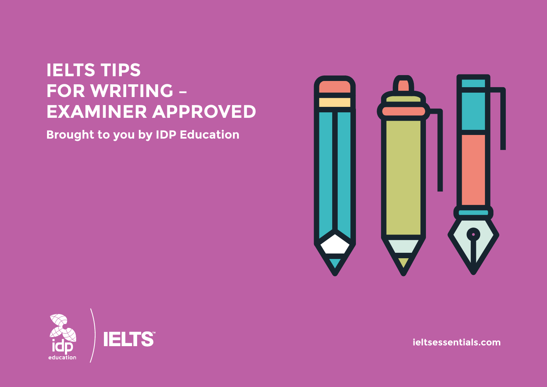# **IELTS TIPS FOR WRITING -EXAMINER APPROVED**

**Brought to you by IDP Education** 





ieltsessentials.com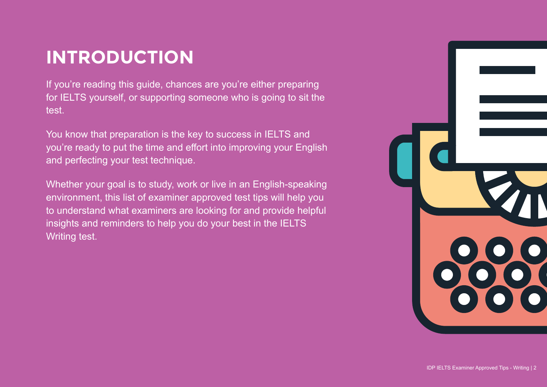# **INTRODUCTION**

If you're reading this guide, chances are you're either preparing for IELTS yourself, or supporting someone who is going to sit the test.

You know that preparation is the key to success in IELTS and you're ready to put the time and effort into improving your English and perfecting your test technique.

Whether your goal is to study, work or live in an English-speaking environment, this list of examiner approved test tips will help you to understand what examiners are looking for and provide helpful insights and reminders to help you do your best in the IELTS Writing test.

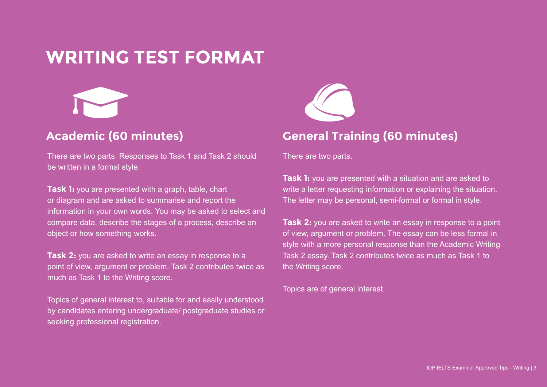## **WRITING TEST FORMAT**



There are two parts. Responses to Task 1 and Task 2 should be written in a formal style.

**Task 1:** you are presented with a graph, table, chart or diagram and are asked to summarise and report the information in your own words. You may be asked to select and compare data, describe the stages of a process, describe an object or how something works.

**Task 2:** you are asked to write an essay in response to a point of view, argument or problem. Task 2 contributes twice as much as Task 1 to the Writing score.

Topics of general interest to, suitable for and easily understood by candidates entering undergraduate/ postgraduate studies or seeking professional registration.



### Academic (60 minutes) **General Training (60 minutes)**

There are two parts.

**Task 1:** you are presented with a situation and are asked to write a letter requesting information or explaining the situation. The letter may be personal, semi-formal or formal in style.

**Task 2:** you are asked to write an essay in response to a point of view, argument or problem. The essay can be less formal in style with a more personal response than the Academic Writing Task 2 essay. Task 2 contributes twice as much as Task 1 to the Writing score.

Topics are of general interest.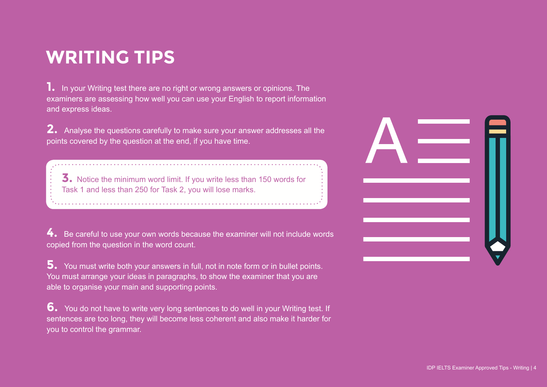# **WRITING TIPS**

**1.** In your Writing test there are no right or wrong answers or opinions. The examiners are assessing how well you can use your English to report information and express ideas.

**2.** Analyse the questions carefully to make sure your answer addresses all the points covered by the question at the end, if you have time.

**3.** Notice the minimum word limit. If you write less than 150 words for Task 1 and less than 250 for Task 2, you will lose marks.

**4.** Be careful to use your own words because the examiner will not include words copied from the question in the word count.

**5.** You must write both your answers in full, not in note form or in bullet points. You must arrange your ideas in paragraphs, to show the examiner that you are able to organise your main and supporting points.

**6.** You do not have to write very long sentences to do well in your Writing test. If sentences are too long, they will become less coherent and also make it harder for you to control the grammar.

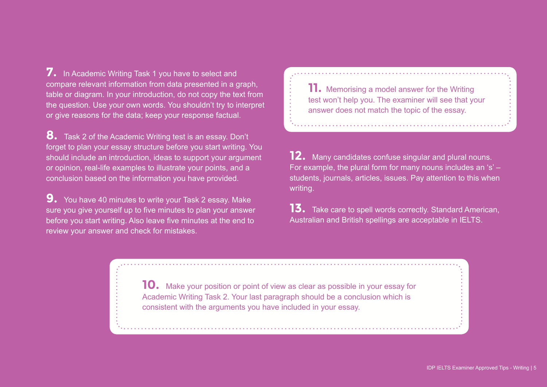**7.** In Academic Writing Task 1 you have to select and compare relevant information from data presented in a graph, table or diagram. In your introduction, do not copy the text from the question. Use your own words. You shouldn't try to interpret or give reasons for the data; keep your response factual.

**8.** Task 2 of the Academic Writing test is an essay. Don't forget to plan your essay structure before you start writing. You should include an introduction, ideas to support your argument or opinion, real-life examples to illustrate your points, and a conclusion based on the information you have provided.

**9.** You have 40 minutes to write your Task 2 essay. Make sure you give yourself up to five minutes to plan your answer before you start writing. Also leave five minutes at the end to review your answer and check for mistakes.

**11.** Memorising a model answer for the Writing test won't help you. The examiner will see that your answer does not match the topic of the essay.

**12.** Many candidates confuse singular and plural nouns. For example, the plural form for many nouns includes an 's' – students, journals, articles, issues. Pay attention to this when writing.

**13.** Take care to spell words correctly. Standard American, Australian and British spellings are acceptable in IELTS.

**10.** Make your position or point of view as clear as possible in your essay for Academic Writing Task 2. Your last paragraph should be a conclusion which is consistent with the arguments you have included in your essay.